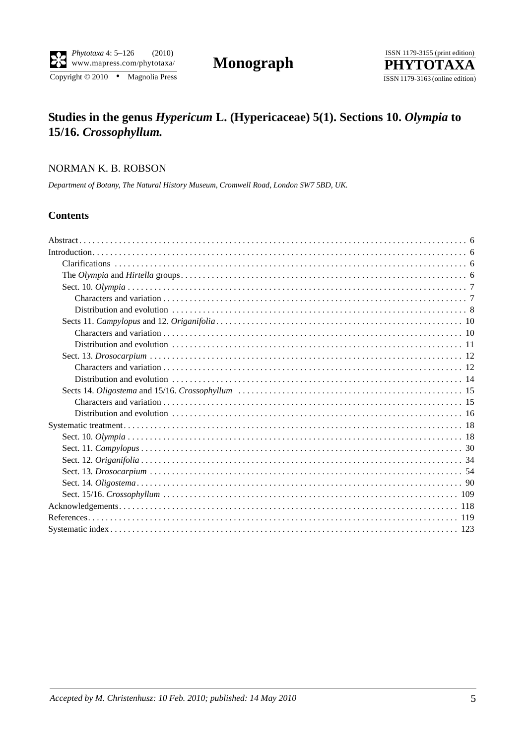$\overline{\text{Copyright © 2010}}$  • Magnolia Press



# **Studies in the genus** *Hypericum* **L. (Hypericaceae) 5(1). Sections 10.** *Olympia* **to 15/16.** *Crossophyllum.*

## NORMAN K. B. ROBSON

*Department of Botany, The Natural History Museum, Cromwell Road, London SW7 5BD, UK.*

## **Contents**